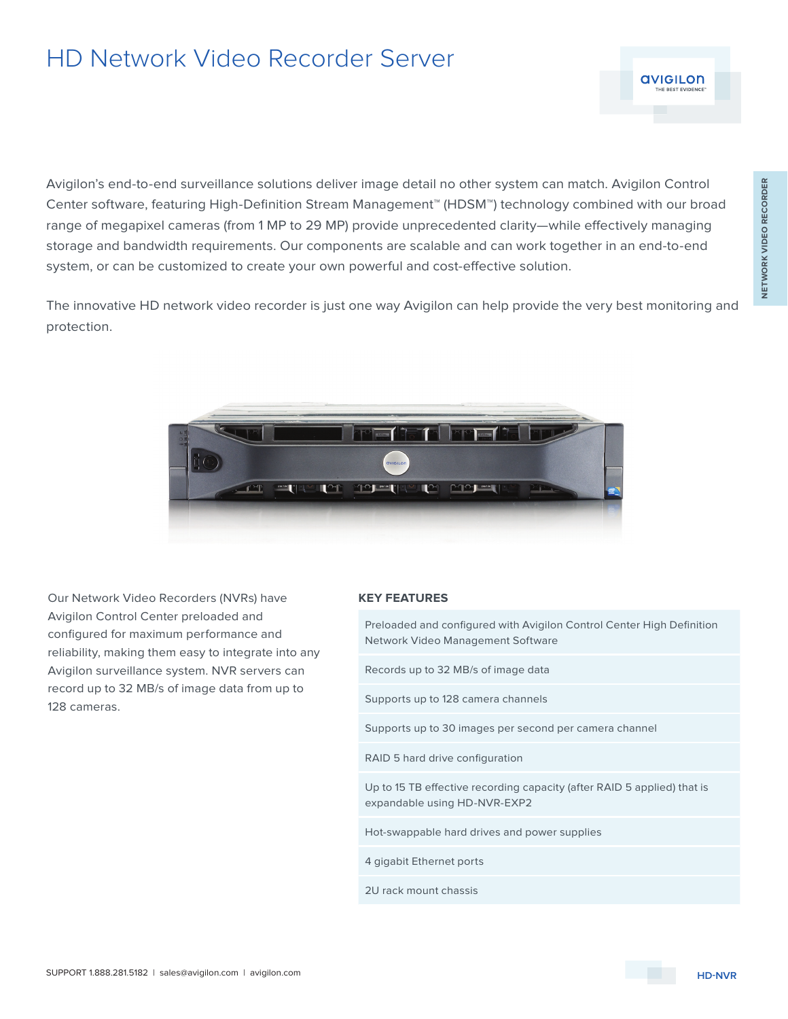## HD Network Video Recorder Server

Avigilon's end-to-end surveillance solutions deliver image detail no other system can match. Avigilon Control Center software, featuring High-Definition Stream Management™ (HDSM™) technology combined with our broad range of megapixel cameras (from 1 MP to 29 MP) provide unprecedented clarity—while effectively managing storage and bandwidth requirements. Our components are scalable and can work together in an end-to-end system, or can be customized to create your own powerful and cost-effective solution.

The innovative HD network video recorder is just one way Avigilon can help provide the very best monitoring and protection.



Our Network Video Recorders (NVRs) have Avigilon Control Center preloaded and configured for maximum performance and reliability, making them easy to integrate into any Avigilon surveillance system. NVR servers can record up to 32 MB/s of image data from up to 128 cameras.

## **KEY FEATURES**

Preloaded and configured with Avigilon Control Center High Definition Network Video Management Software Records up to 32 MB/s of image data Supports up to 128 camera channels Supports up to 30 images per second per camera channel RAID 5 hard drive configuration Up to 15 TB effective recording capacity (after RAID 5 applied) that is expandable using HD-NVR-EXP2 Hot-swappable hard drives and power supplies 4 gigabit Ethernet ports 2U rack mount chassis

**AVIGILON**